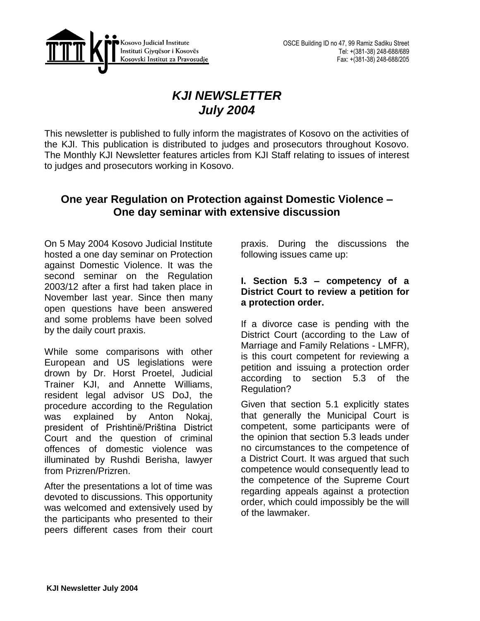

# *KJI NEWSLETTER July 2004*

This newsletter is published to fully inform the magistrates of Kosovo on the activities of the KJI. This publication is distributed to judges and prosecutors throughout Kosovo. The Monthly KJI Newsletter features articles from KJI Staff relating to issues of interest to judges and prosecutors working in Kosovo.

### **One year Regulation on Protection against Domestic Violence – One day seminar with extensive discussion**

On 5 May 2004 Kosovo Judicial Institute hosted a one day seminar on Protection against Domestic Violence. It was the second seminar on the Regulation 2003/12 after a first had taken place in November last year. Since then many open questions have been answered and some problems have been solved by the daily court praxis.

While some comparisons with other European and US legislations were drown by Dr. Horst Proetel, Judicial Trainer KJI, and Annette Williams, resident legal advisor US DoJ, the procedure according to the Regulation was explained by Anton Nokaj, president of Prishtinë/Priština District Court and the question of criminal offences of domestic violence was illuminated by Rushdi Berisha, lawyer from Prizren/Prizren.

After the presentations a lot of time was devoted to discussions. This opportunity was welcomed and extensively used by the participants who presented to their peers different cases from their court

praxis. During the discussions the following issues came up:

### **I. Section 5.3 – competency of a District Court to review a petition for a protection order.**

If a divorce case is pending with the District Court (according to the Law of Marriage and Family Relations - LMFR), is this court competent for reviewing a petition and issuing a protection order according to section 5.3 of the Regulation?

Given that section 5.1 explicitly states that generally the Municipal Court is competent, some participants were of the opinion that section 5.3 leads under no circumstances to the competence of a District Court. It was argued that such competence would consequently lead to the competence of the Supreme Court regarding appeals against a protection order, which could impossibly be the will of the lawmaker.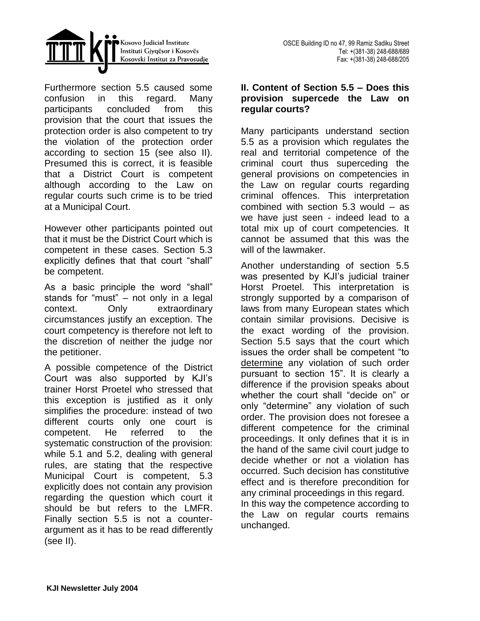



Furthermore section 5.5 caused some confusion in this regard. Many participants concluded from this provision that the court that issues the protection order is also competent to try the violation of the protection order according to section 15 (see also II). Presumed this is correct, it is feasible that a District Court is competent although according to the Law on regular courts such crime is to be tried at a Municipal Court.

However other participants pointed out that it must be the District Court which is competent in these cases. Section 5.3 explicitly defines that that court "shall" be competent.

As a basic principle the word "shall" stands for "must" – not only in a legal context. Only extraordinary circumstances justify an exception. The court competency is therefore not left to the discretion of neither the judge nor the petitioner.

A possible competence of the District Court was also supported by KJI's trainer Horst Proetel who stressed that this exception is justified as it only simplifies the procedure: instead of two different courts only one court is competent. He referred to the systematic construction of the provision: while 5.1 and 5.2, dealing with general rules, are stating that the respective Municipal Court is competent, 5.3 explicitly does not contain any provision regarding the question which court it should be but refers to the LMFR. Finally section 5.5 is not a counterargument as it has to be read differently (see II).

#### **II. Content of Section 5.5 – Does this provision supercede the Law on regular courts?**

Many participants understand section 5.5 as a provision which regulates the real and territorial competence of the criminal court thus superceding the general provisions on competencies in the Law on regular courts regarding criminal offences. This interpretation combined with section 5.3 would – as we have just seen - indeed lead to a total mix up of court competencies. It cannot be assumed that this was the will of the lawmaker.

Another understanding of section 5.5 was presented by KJI's judicial trainer Horst Proetel. This interpretation is strongly supported by a comparison of laws from many European states which contain similar provisions. Decisive is the exact wording of the provision. Section 5.5 says that the court which issues the order shall be competent "to determine any violation of such order pursuant to section 15". It is clearly a difference if the provision speaks about whether the court shall "decide on" or only "determine" any violation of such order. The provision does not foresee a different competence for the criminal proceedings. It only defines that it is in the hand of the same civil court judge to decide whether or not a violation has occurred. Such decision has constitutive effect and is therefore precondition for any criminal proceedings in this regard. In this way the competence according to the Law on regular courts remains unchanged.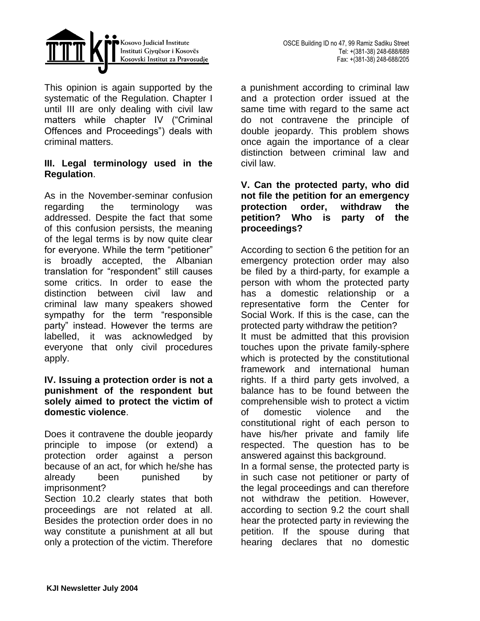

This opinion is again supported by the systematic of the Regulation. Chapter I until III are only dealing with civil law matters while chapter IV ("Criminal Offences and Proceedings") deals with criminal matters.

### **III. Legal terminology used in the Regulation**.

As in the November-seminar confusion regarding the terminology was addressed. Despite the fact that some of this confusion persists, the meaning of the legal terms is by now quite clear for everyone. While the term "petitioner" is broadly accepted, the Albanian translation for "respondent" still causes some critics. In order to ease the distinction between civil law and criminal law many speakers showed sympathy for the term "responsible party" instead. However the terms are labelled, it was acknowledged by everyone that only civil procedures apply.

#### **IV. Issuing a protection order is not a punishment of the respondent but solely aimed to protect the victim of domestic violence**.

Does it contravene the double jeopardy principle to impose (or extend) a protection order against a person because of an act, for which he/she has already been punished by imprisonment?

Section 10.2 clearly states that both proceedings are not related at all. Besides the protection order does in no way constitute a punishment at all but only a protection of the victim. Therefore

a punishment according to criminal law and a protection order issued at the same time with regard to the same act do not contravene the principle of double jeopardy. This problem shows once again the importance of a clear distinction between criminal law and civil law.

### **V. Can the protected party, who did not file the petition for an emergency protection order, withdraw the petition? Who is party of the proceedings?**

According to section 6 the petition for an emergency protection order may also be filed by a third-party, for example a person with whom the protected party has a domestic relationship or a representative form the Center for Social Work. If this is the case, can the protected party withdraw the petition? It must be admitted that this provision touches upon the private family-sphere which is protected by the constitutional framework and international human rights. If a third party gets involved, a balance has to be found between the comprehensible wish to protect a victim of domestic violence and the constitutional right of each person to have his/her private and family life respected. The question has to be answered against this background. In a formal sense, the protected party is in such case not petitioner or party of the legal proceedings and can therefore not withdraw the petition. However, according to section 9.2 the court shall hear the protected party in reviewing the petition. If the spouse during that

hearing declares that no domestic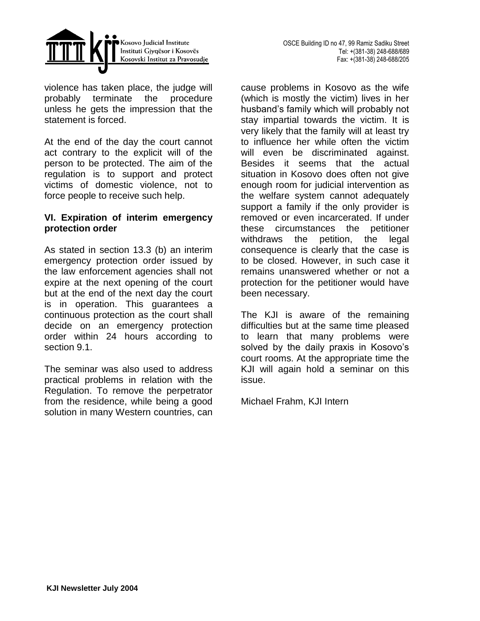



violence has taken place, the judge will probably terminate the procedure unless he gets the impression that the statement is forced.

At the end of the day the court cannot act contrary to the explicit will of the person to be protected. The aim of the regulation is to support and protect victims of domestic violence, not to force people to receive such help.

#### **VI. Expiration of interim emergency protection order**

As stated in section 13.3 (b) an interim emergency protection order issued by the law enforcement agencies shall not expire at the next opening of the court but at the end of the next day the court is in operation. This guarantees a continuous protection as the court shall decide on an emergency protection order within 24 hours according to section 9.1.

The seminar was also used to address practical problems in relation with the Regulation. To remove the perpetrator from the residence, while being a good solution in many Western countries, can

cause problems in Kosovo as the wife (which is mostly the victim) lives in her husband's family which will probably not stay impartial towards the victim. It is very likely that the family will at least try to influence her while often the victim will even be discriminated against. Besides it seems that the actual situation in Kosovo does often not give enough room for judicial intervention as the welfare system cannot adequately support a family if the only provider is removed or even incarcerated. If under these circumstances the petitioner withdraws the petition, the legal consequence is clearly that the case is to be closed. However, in such case it remains unanswered whether or not a protection for the petitioner would have been necessary.

The KJI is aware of the remaining difficulties but at the same time pleased to learn that many problems were solved by the daily praxis in Kosovo's court rooms. At the appropriate time the KJI will again hold a seminar on this issue.

Michael Frahm, KJI Intern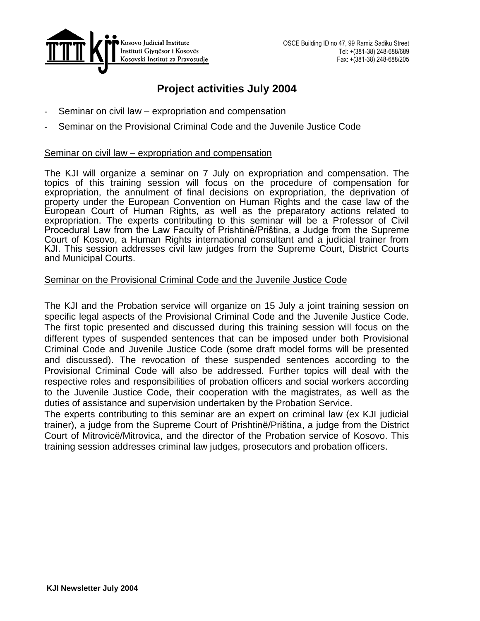

# **Project activities July 2004**

- Seminar on civil law expropriation and compensation
- Seminar on the Provisional Criminal Code and the Juvenile Justice Code

#### Seminar on civil law – expropriation and compensation

The KJI will organize a seminar on 7 July on expropriation and compensation. The topics of this training session will focus on the procedure of compensation for expropriation, the annulment of final decisions on expropriation, the deprivation of property under the European Convention on Human Rights and the case law of the European Court of Human Rights, as well as the preparatory actions related to expropriation. The experts contributing to this seminar will be a Professor of Civil Procedural Law from the Law Faculty of Prishtinë/Priština, a Judge from the Supreme Court of Kosovo, a Human Rights international consultant and a judicial trainer from KJI. This session addresses civil law judges from the Supreme Court, District Courts and Municipal Courts.

#### Seminar on the Provisional Criminal Code and the Juvenile Justice Code

The KJI and the Probation service will organize on 15 July a joint training session on specific legal aspects of the Provisional Criminal Code and the Juvenile Justice Code. The first topic presented and discussed during this training session will focus on the different types of suspended sentences that can be imposed under both Provisional Criminal Code and Juvenile Justice Code (some draft model forms will be presented and discussed). The revocation of these suspended sentences according to the Provisional Criminal Code will also be addressed. Further topics will deal with the respective roles and responsibilities of probation officers and social workers according to the Juvenile Justice Code, their cooperation with the magistrates, as well as the duties of assistance and supervision undertaken by the Probation Service.

The experts contributing to this seminar are an expert on criminal law (ex KJI judicial trainer), a judge from the Supreme Court of Prishtinë/Priština, a judge from the District Court of Mitrovicë/Mitrovica, and the director of the Probation service of Kosovo. This training session addresses criminal law judges, prosecutors and probation officers.